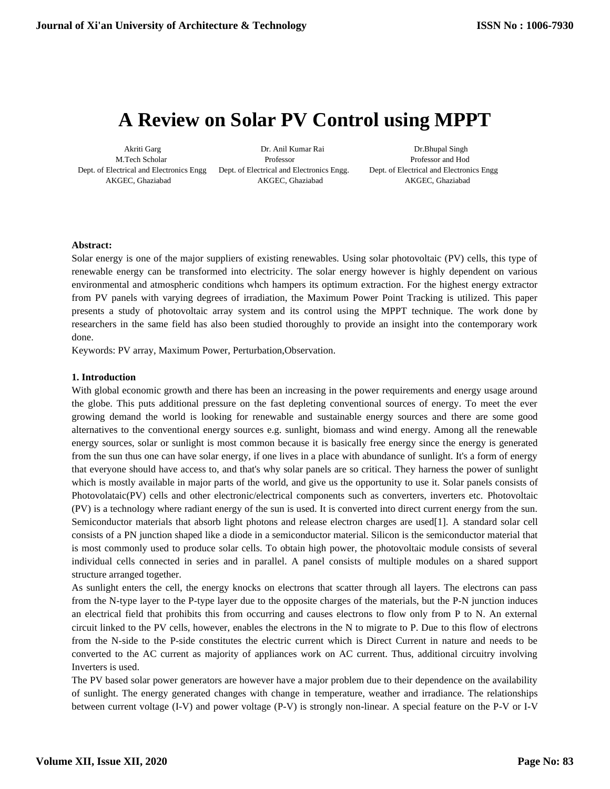# **A Review on Solar PV Control using MPPT**

Dept. of Electrical and Electronics Engg Dept. of Electrical and Electronics Engg. Dept. of Electrical and Electronics Engg

 Akriti Garg Dr. Anil Kumar Rai Dr.Bhupal Singh M.Tech Scholar Professor Professor and Hod AKGEC, Ghaziabad AKGEC, Ghaziabad AKGEC, Ghaziabad

# **Abstract:**

Solar energy is one of the major suppliers of existing renewables. Using solar photovoltaic (PV) cells, this type of renewable energy can be transformed into electricity. The solar energy however is highly dependent on various environmental and atmospheric conditions whch hampers its optimum extraction. For the highest energy extractor from PV panels with varying degrees of irradiation, the Maximum Power Point Tracking is utilized. This paper presents a study of photovoltaic array system and its control using the MPPT technique. The work done by researchers in the same field has also been studied thoroughly to provide an insight into the contemporary work done.

Keywords: PV array, Maximum Power, Perturbation,Observation.

#### **1. Introduction**

With global economic growth and there has been an increasing in the power requirements and energy usage around the globe. This puts additional pressure on the fast depleting conventional sources of energy. To meet the ever growing demand the world is looking for renewable and sustainable energy sources and there are some good alternatives to the conventional energy sources e.g. sunlight, biomass and wind energy. Among all the renewable energy sources, solar or sunlight is most common because it is basically free energy since the energy is generated from the sun thus one can have solar energy, if one lives in a place with abundance of sunlight. It's a form of energy that everyone should have access to, and that's why solar panels are so critical. They harness the power of sunlight which is mostly available in major parts of the world, and give us the opportunity to use it. Solar panels consists of Photovolataic(PV) cells and other electronic/electrical components such as converters, inverters etc. Photovoltaic (PV) is a technology where radiant energy of the sun is used. It is converted into direct current energy from the sun. Semiconductor materials that absorb light photons and release electron charges are used[1]. A standard solar cell consists of a PN junction shaped like a diode in a semiconductor material. Silicon is the semiconductor material that is most commonly used to produce solar cells. To obtain high power, the photovoltaic module consists of several individual cells connected in series and in parallel. A panel consists of multiple modules on a shared support structure arranged together.

As sunlight enters the cell, the energy knocks on electrons that scatter through all layers. The electrons can pass from the N-type layer to the P-type layer due to the opposite charges of the materials, but the P-N junction induces an electrical field that prohibits this from occurring and causes electrons to flow only from P to N. An external circuit linked to the PV cells, however, enables the electrons in the N to migrate to P. Due to this flow of electrons from the N-side to the P-side constitutes the electric current which is Direct Current in nature and needs to be converted to the AC current as majority of appliances work on AC current. Thus, additional circuitry involving Inverters is used.

The PV based solar power generators are however have a major problem due to their dependence on the availability of sunlight. The energy generated changes with change in temperature, weather and irradiance. The relationships between current voltage (I-V) and power voltage (P-V) is strongly non-linear. A special feature on the P-V or I-V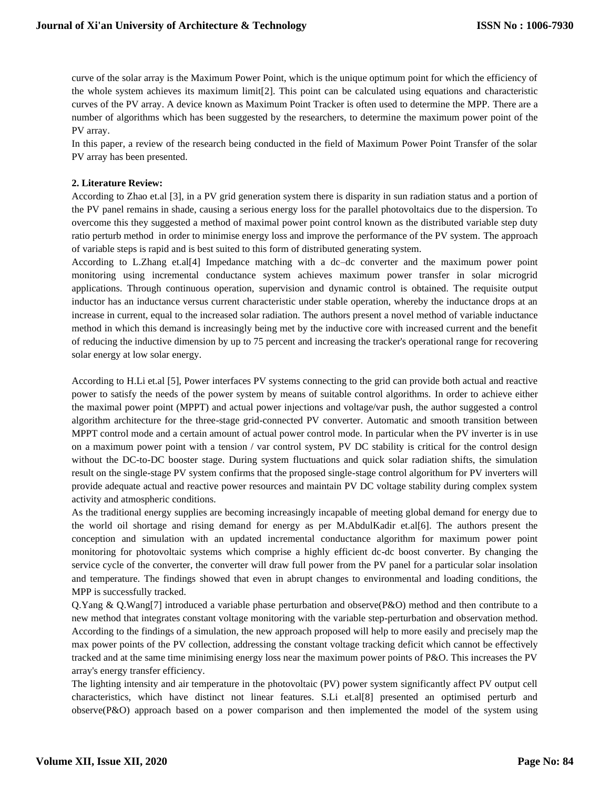curve of the solar array is the Maximum Power Point, which is the unique optimum point for which the efficiency of the whole system achieves its maximum limit[2]. This point can be calculated using equations and characteristic curves of the PV array. A device known as Maximum Point Tracker is often used to determine the MPP. There are a number of algorithms which has been suggested by the researchers, to determine the maximum power point of the PV array.

In this paper, a review of the research being conducted in the field of Maximum Power Point Transfer of the solar PV array has been presented.

# **2. Literature Review:**

According to Zhao et.al [3], in a PV grid generation system there is disparity in sun radiation status and a portion of the PV panel remains in shade, causing a serious energy loss for the parallel photovoltaics due to the dispersion. To overcome this they suggested a method of maximal power point control known as the distributed variable step duty ratio perturb method in order to minimise energy loss and improve the performance of the PV system. The approach of variable steps is rapid and is best suited to this form of distributed generating system.

According to L.Zhang et.al[4] Impedance matching with a dc–dc converter and the maximum power point monitoring using incremental conductance system achieves maximum power transfer in solar microgrid applications. Through continuous operation, supervision and dynamic control is obtained. The requisite output inductor has an inductance versus current characteristic under stable operation, whereby the inductance drops at an increase in current, equal to the increased solar radiation. The authors present a novel method of variable inductance method in which this demand is increasingly being met by the inductive core with increased current and the benefit of reducing the inductive dimension by up to 75 percent and increasing the tracker's operational range for recovering solar energy at low solar energy.

According to H.Li et.al [5], Power interfaces PV systems connecting to the grid can provide both actual and reactive power to satisfy the needs of the power system by means of suitable control algorithms. In order to achieve either the maximal power point (MPPT) and actual power injections and voltage/var push, the author suggested a control algorithm architecture for the three-stage grid-connected PV converter. Automatic and smooth transition between MPPT control mode and a certain amount of actual power control mode. In particular when the PV inverter is in use on a maximum power point with a tension / var control system, PV DC stability is critical for the control design without the DC-to-DC booster stage. During system fluctuations and quick solar radiation shifts, the simulation result on the single-stage PV system confirms that the proposed single-stage control algorithum for PV inverters will provide adequate actual and reactive power resources and maintain PV DC voltage stability during complex system activity and atmospheric conditions.

As the traditional energy supplies are becoming increasingly incapable of meeting global demand for energy due to the world oil shortage and rising demand for energy as per M.AbdulKadir et.al[6]. The authors present the conception and simulation with an updated incremental conductance algorithm for maximum power point monitoring for photovoltaic systems which comprise a highly efficient dc-dc boost converter. By changing the service cycle of the converter, the converter will draw full power from the PV panel for a particular solar insolation and temperature. The findings showed that even in abrupt changes to environmental and loading conditions, the MPP is successfully tracked.

Q.Yang & Q.Wang[7] introduced a variable phase perturbation and observe(P&O) method and then contribute to a new method that integrates constant voltage monitoring with the variable step-perturbation and observation method. According to the findings of a simulation, the new approach proposed will help to more easily and precisely map the max power points of the PV collection, addressing the constant voltage tracking deficit which cannot be effectively tracked and at the same time minimising energy loss near the maximum power points of P&O. This increases the PV array's energy transfer efficiency.

The lighting intensity and air temperature in the photovoltaic (PV) power system significantly affect PV output cell characteristics, which have distinct not linear features. S.Li et.al[8] presented an optimised perturb and observe(P&O) approach based on a power comparison and then implemented the model of the system using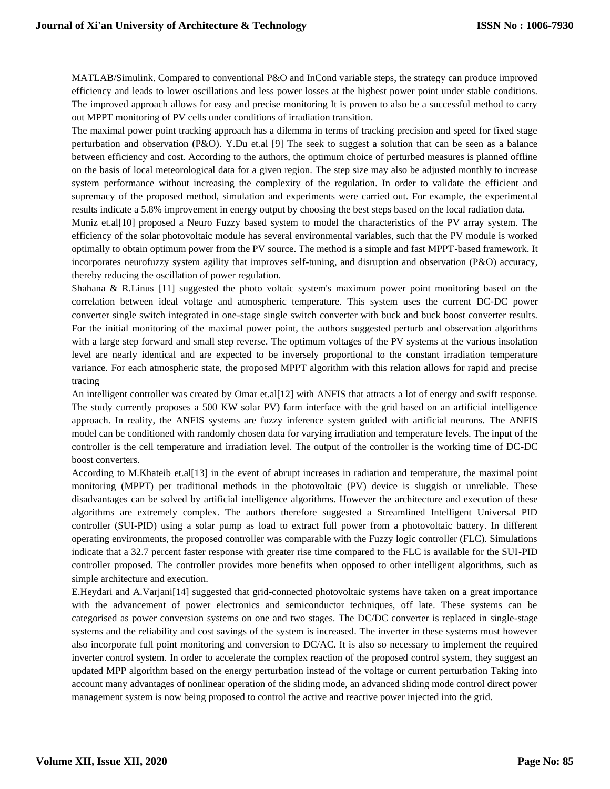MATLAB/Simulink. Compared to conventional P&O and InCond variable steps, the strategy can produce improved efficiency and leads to lower oscillations and less power losses at the highest power point under stable conditions. The improved approach allows for easy and precise monitoring It is proven to also be a successful method to carry out MPPT monitoring of PV cells under conditions of irradiation transition.

The maximal power point tracking approach has a dilemma in terms of tracking precision and speed for fixed stage perturbation and observation (P&O). Y.Du et.al [9] The seek to suggest a solution that can be seen as a balance between efficiency and cost. According to the authors, the optimum choice of perturbed measures is planned offline on the basis of local meteorological data for a given region. The step size may also be adjusted monthly to increase system performance without increasing the complexity of the regulation. In order to validate the efficient and supremacy of the proposed method, simulation and experiments were carried out. For example, the experimental results indicate a 5.8% improvement in energy output by choosing the best steps based on the local radiation data.

Muniz et.al[10] proposed a Neuro Fuzzy based system to model the characteristics of the PV array system. The efficiency of the solar photovoltaic module has several environmental variables, such that the PV module is worked optimally to obtain optimum power from the PV source. The method is a simple and fast MPPT-based framework. It incorporates neurofuzzy system agility that improves self-tuning, and disruption and observation (P&O) accuracy, thereby reducing the oscillation of power regulation.

Shahana & R.Linus [11] suggested the photo voltaic system's maximum power point monitoring based on the correlation between ideal voltage and atmospheric temperature. This system uses the current DC-DC power converter single switch integrated in one-stage single switch converter with buck and buck boost converter results. For the initial monitoring of the maximal power point, the authors suggested perturb and observation algorithms with a large step forward and small step reverse. The optimum voltages of the PV systems at the various insolation level are nearly identical and are expected to be inversely proportional to the constant irradiation temperature variance. For each atmospheric state, the proposed MPPT algorithm with this relation allows for rapid and precise tracing

An intelligent controller was created by Omar et.al[12] with ANFIS that attracts a lot of energy and swift response. The study currently proposes a 500 KW solar PV) farm interface with the grid based on an artificial intelligence approach. In reality, the ANFIS systems are fuzzy inference system guided with artificial neurons. The ANFIS model can be conditioned with randomly chosen data for varying irradiation and temperature levels. The input of the controller is the cell temperature and irradiation level. The output of the controller is the working time of DC-DC boost converters.

According to M.Khateib et.al[13] in the event of abrupt increases in radiation and temperature, the maximal point monitoring (MPPT) per traditional methods in the photovoltaic (PV) device is sluggish or unreliable. These disadvantages can be solved by artificial intelligence algorithms. However the architecture and execution of these algorithms are extremely complex. The authors therefore suggested a Streamlined Intelligent Universal PID controller (SUI-PID) using a solar pump as load to extract full power from a photovoltaic battery. In different operating environments, the proposed controller was comparable with the Fuzzy logic controller (FLC). Simulations indicate that a 32.7 percent faster response with greater rise time compared to the FLC is available for the SUI-PID controller proposed. The controller provides more benefits when opposed to other intelligent algorithms, such as simple architecture and execution.

E.Heydari and A.Varjani[14] suggested that grid-connected photovoltaic systems have taken on a great importance with the advancement of power electronics and semiconductor techniques, off late. These systems can be categorised as power conversion systems on one and two stages. The DC/DC converter is replaced in single-stage systems and the reliability and cost savings of the system is increased. The inverter in these systems must however also incorporate full point monitoring and conversion to DC/AC. It is also so necessary to implement the required inverter control system. In order to accelerate the complex reaction of the proposed control system, they suggest an updated MPP algorithm based on the energy perturbation instead of the voltage or current perturbation Taking into account many advantages of nonlinear operation of the sliding mode, an advanced sliding mode control direct power management system is now being proposed to control the active and reactive power injected into the grid.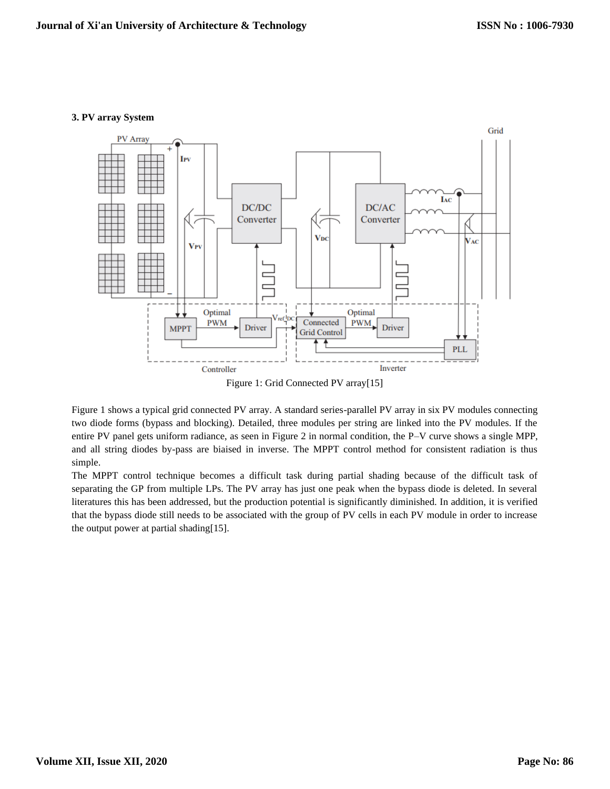#### **3. PV array System**



Figure 1 shows a typical grid connected PV array. A standard series-parallel PV array in six PV modules connecting two diode forms (bypass and blocking). Detailed, three modules per string are linked into the PV modules. If the entire PV panel gets uniform radiance, as seen in Figure 2 in normal condition, the P–V curve shows a single MPP, and all string diodes by-pass are biaised in inverse. The MPPT control method for consistent radiation is thus simple.

The MPPT control technique becomes a difficult task during partial shading because of the difficult task of separating the GP from multiple LPs. The PV array has just one peak when the bypass diode is deleted. In several literatures this has been addressed, but the production potential is significantly diminished. In addition, it is verified that the bypass diode still needs to be associated with the group of PV cells in each PV module in order to increase the output power at partial shading[15].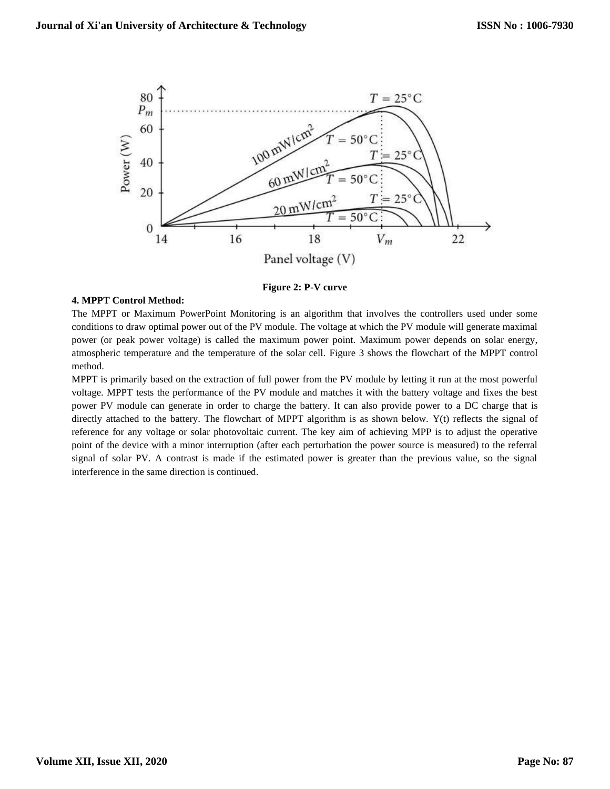

**Figure 2: P-V curve**

# **4. MPPT Control Method:**

The MPPT or Maximum PowerPoint Monitoring is an algorithm that involves the controllers used under some conditions to draw optimal power out of the PV module. The voltage at which the PV module will generate maximal power (or peak power voltage) is called the maximum power point. Maximum power depends on solar energy, atmospheric temperature and the temperature of the solar cell. Figure 3 shows the flowchart of the MPPT control method.

MPPT is primarily based on the extraction of full power from the PV module by letting it run at the most powerful voltage. MPPT tests the performance of the PV module and matches it with the battery voltage and fixes the best power PV module can generate in order to charge the battery. It can also provide power to a DC charge that is directly attached to the battery. The flowchart of MPPT algorithm is as shown below. Y(t) reflects the signal of reference for any voltage or solar photovoltaic current. The key aim of achieving MPP is to adjust the operative point of the device with a minor interruption (after each perturbation the power source is measured) to the referral signal of solar PV. A contrast is made if the estimated power is greater than the previous value, so the signal interference in the same direction is continued.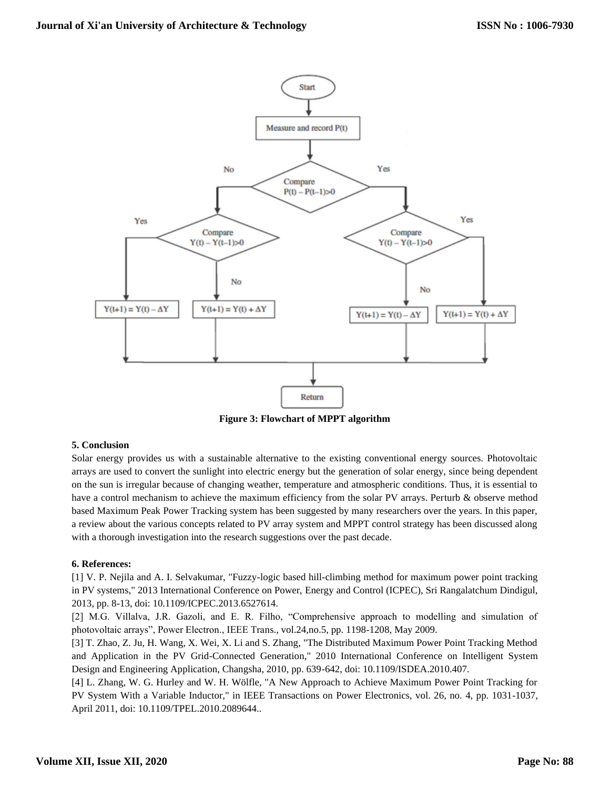

**Figure 3: Flowchart of MPPT algorithm**

# **5. Conclusion**

Solar energy provides us with a sustainable alternative to the existing conventional energy sources. Photovoltaic arrays are used to convert the sunlight into electric energy but the generation of solar energy, since being dependent on the sun is irregular because of changing weather, temperature and atmospheric conditions. Thus, it is essential to have a control mechanism to achieve the maximum efficiency from the solar PV arrays. Perturb & observe method based Maximum Peak Power Tracking system has been suggested by many researchers over the years. In this paper, a review about the various concepts related to PV array system and MPPT control strategy has been discussed along with a thorough investigation into the research suggestions over the past decade.

# **6. References:**

[1] V. P. Nejila and A. I. Selvakumar, "Fuzzy-logic based hill-climbing method for maximum power point tracking in PV systems," 2013 International Conference on Power, Energy and Control (ICPEC), Sri Rangalatchum Dindigul, 2013, pp. 8-13, doi: 10.1109/ICPEC.2013.6527614.

[2] M.G. Villalva, J.R. Gazoli, and E. R. Filho, "Comprehensive approach to modelling and simulation of photovoltaic arrays", Power Electron., IEEE Trans., vol.24,no.5, pp. 1198-1208, May 2009.

[3] T. Zhao, Z. Ju, H. Wang, X. Wei, X. Li and S. Zhang, "The Distributed Maximum Power Point Tracking Method and Application in the PV Grid-Connected Generation," 2010 International Conference on Intelligent System Design and Engineering Application, Changsha, 2010, pp. 639-642, doi: 10.1109/ISDEA.2010.407.

[4] L. Zhang, W. G. Hurley and W. H. Wölfle, "A New Approach to Achieve Maximum Power Point Tracking for PV System With a Variable Inductor," in IEEE Transactions on Power Electronics, vol. 26, no. 4, pp. 1031-1037, April 2011, doi: 10.1109/TPEL.2010.2089644..